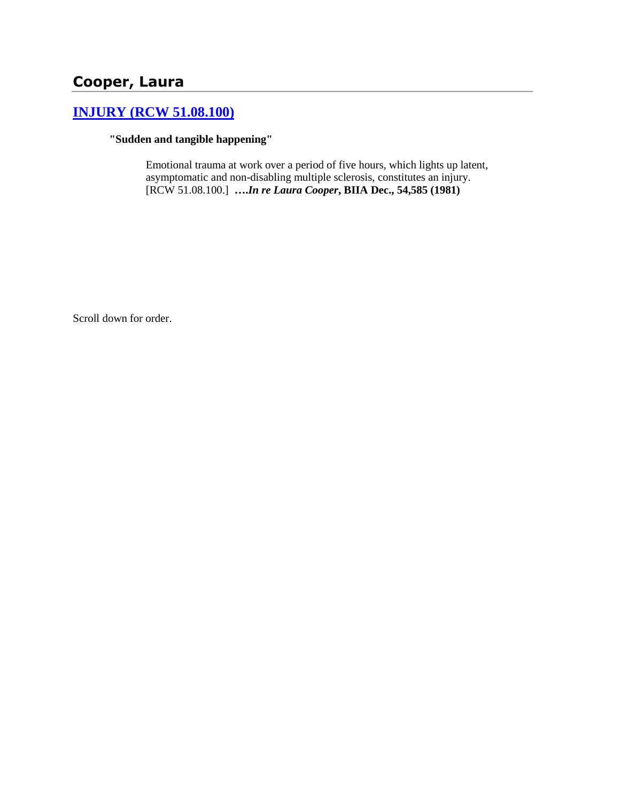# **Cooper, Laura**

# **[INJURY \(RCW 51.08.100\)](http://www.biia.wa.gov/SDSubjectIndex.html#INJURY)**

### **"Sudden and tangible happening"**

Emotional trauma at work over a period of five hours, which lights up latent, asymptomatic and non-disabling multiple sclerosis, constitutes an injury. [RCW 51.08.100.] **….***In re Laura Cooper***, BIIA Dec., 54,585 (1981)** 

Scroll down for order.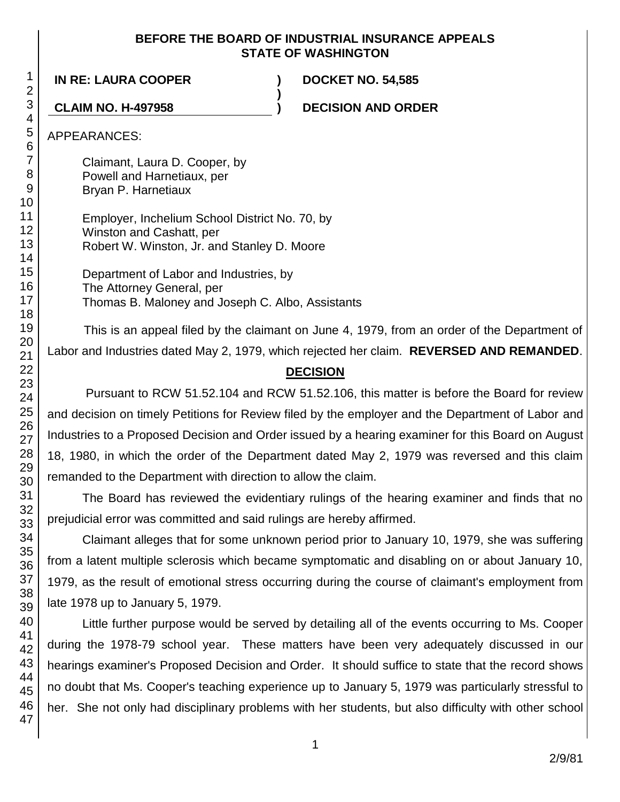### **BEFORE THE BOARD OF INDUSTRIAL INSURANCE APPEALS STATE OF WASHINGTON**

**)**

**IN RE: LAURA COOPER ) DOCKET NO. 54,585**

**CLAIM NO. H-497958 ) DECISION AND ORDER**

# APPEARANCES:

Claimant, Laura D. Cooper, by Powell and Harnetiaux, per Bryan P. Harnetiaux

Employer, Inchelium School District No. 70, by Winston and Cashatt, per Robert W. Winston, Jr. and Stanley D. Moore

Department of Labor and Industries, by The Attorney General, per Thomas B. Maloney and Joseph C. Albo, Assistants

This is an appeal filed by the claimant on June 4, 1979, from an order of the Department of Labor and Industries dated May 2, 1979, which rejected her claim. **REVERSED AND REMANDED**.

# **DECISION**

Pursuant to RCW 51.52.104 and RCW 51.52.106, this matter is before the Board for review and decision on timely Petitions for Review filed by the employer and the Department of Labor and Industries to a Proposed Decision and Order issued by a hearing examiner for this Board on August 18, 1980, in which the order of the Department dated May 2, 1979 was reversed and this claim remanded to the Department with direction to allow the claim.

The Board has reviewed the evidentiary rulings of the hearing examiner and finds that no prejudicial error was committed and said rulings are hereby affirmed.

Claimant alleges that for some unknown period prior to January 10, 1979, she was suffering from a latent multiple sclerosis which became symptomatic and disabling on or about January 10, 1979, as the result of emotional stress occurring during the course of claimant's employment from late 1978 up to January 5, 1979.

Little further purpose would be served by detailing all of the events occurring to Ms. Cooper during the 1978-79 school year. These matters have been very adequately discussed in our hearings examiner's Proposed Decision and Order. It should suffice to state that the record shows no doubt that Ms. Cooper's teaching experience up to January 5, 1979 was particularly stressful to her. She not only had disciplinary problems with her students, but also difficulty with other school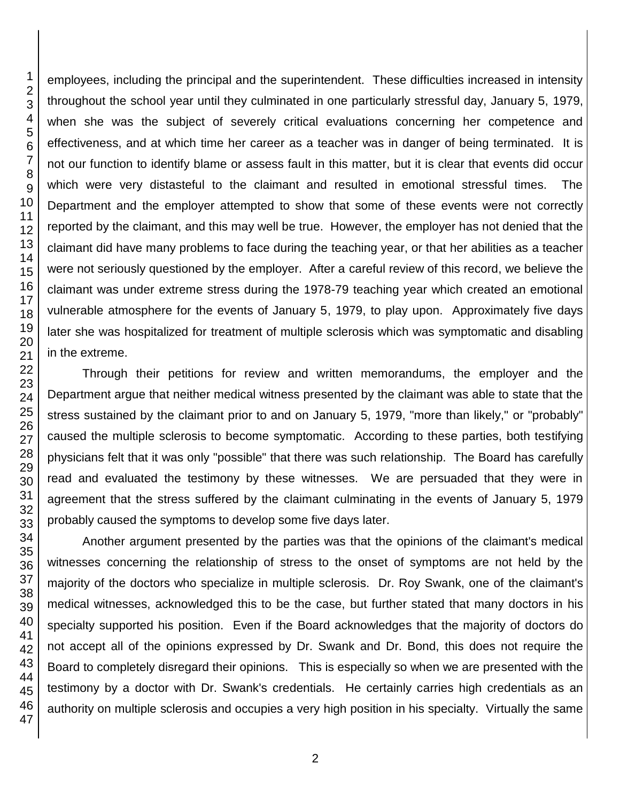employees, including the principal and the superintendent. These difficulties increased in intensity throughout the school year until they culminated in one particularly stressful day, January 5, 1979, when she was the subject of severely critical evaluations concerning her competence and effectiveness, and at which time her career as a teacher was in danger of being terminated. It is not our function to identify blame or assess fault in this matter, but it is clear that events did occur which were very distasteful to the claimant and resulted in emotional stressful times. The Department and the employer attempted to show that some of these events were not correctly reported by the claimant, and this may well be true. However, the employer has not denied that the claimant did have many problems to face during the teaching year, or that her abilities as a teacher were not seriously questioned by the employer. After a careful review of this record, we believe the claimant was under extreme stress during the 1978-79 teaching year which created an emotional vulnerable atmosphere for the events of January 5, 1979, to play upon. Approximately five days later she was hospitalized for treatment of multiple sclerosis which was symptomatic and disabling in the extreme.

Through their petitions for review and written memorandums, the employer and the Department argue that neither medical witness presented by the claimant was able to state that the stress sustained by the claimant prior to and on January 5, 1979, "more than likely," or "probably" caused the multiple sclerosis to become symptomatic. According to these parties, both testifying physicians felt that it was only "possible" that there was such relationship. The Board has carefully read and evaluated the testimony by these witnesses. We are persuaded that they were in agreement that the stress suffered by the claimant culminating in the events of January 5, 1979 probably caused the symptoms to develop some five days later.

Another argument presented by the parties was that the opinions of the claimant's medical witnesses concerning the relationship of stress to the onset of symptoms are not held by the majority of the doctors who specialize in multiple sclerosis. Dr. Roy Swank, one of the claimant's medical witnesses, acknowledged this to be the case, but further stated that many doctors in his specialty supported his position. Even if the Board acknowledges that the majority of doctors do not accept all of the opinions expressed by Dr. Swank and Dr. Bond, this does not require the Board to completely disregard their opinions. This is especially so when we are presented with the testimony by a doctor with Dr. Swank's credentials. He certainly carries high credentials as an authority on multiple sclerosis and occupies a very high position in his specialty. Virtually the same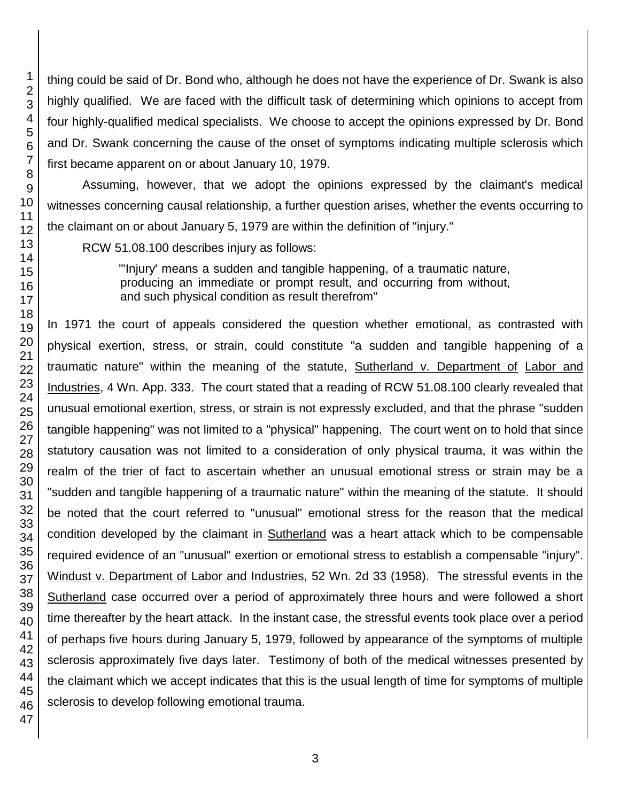thing could be said of Dr. Bond who, although he does not have the experience of Dr. Swank is also highly qualified. We are faced with the difficult task of determining which opinions to accept from four highly-qualified medical specialists. We choose to accept the opinions expressed by Dr. Bond and Dr. Swank concerning the cause of the onset of symptoms indicating multiple sclerosis which first became apparent on or about January 10, 1979.

Assuming, however, that we adopt the opinions expressed by the claimant's medical witnesses concerning causal relationship, a further question arises, whether the events occurring to the claimant on or about January 5, 1979 are within the definition of "injury."

RCW 51.08.100 describes injury as follows:

"'Injury' means a sudden and tangible happening, of a traumatic nature, producing an immediate or prompt result, and occurring from without, and such physical condition as result therefrom"

In 1971 the court of appeals considered the question whether emotional, as contrasted with physical exertion, stress, or strain, could constitute "a sudden and tangible happening of a traumatic nature" within the meaning of the statute, Sutherland v. Department of Labor and Industries, 4 Wn. App. 333. The court stated that a reading of RCW 51.08.100 clearly revealed that unusual emotional exertion, stress, or strain is not expressly excluded, and that the phrase "sudden tangible happening" was not limited to a "physical" happening. The court went on to hold that since statutory causation was not limited to a consideration of only physical trauma, it was within the realm of the trier of fact to ascertain whether an unusual emotional stress or strain may be a "sudden and tangible happening of a traumatic nature" within the meaning of the statute. It should be noted that the court referred to "unusual" emotional stress for the reason that the medical condition developed by the claimant in **Sutherland** was a heart attack which to be compensable required evidence of an "unusual" exertion or emotional stress to establish a compensable "injury". Windust v. Department of Labor and Industries, 52 Wn. 2d 33 (1958). The stressful events in the Sutherland case occurred over a period of approximately three hours and were followed a short time thereafter by the heart attack. In the instant case, the stressful events took place over a period of perhaps five hours during January 5, 1979, followed by appearance of the symptoms of multiple sclerosis approximately five days later. Testimony of both of the medical witnesses presented by the claimant which we accept indicates that this is the usual length of time for symptoms of multiple sclerosis to develop following emotional trauma.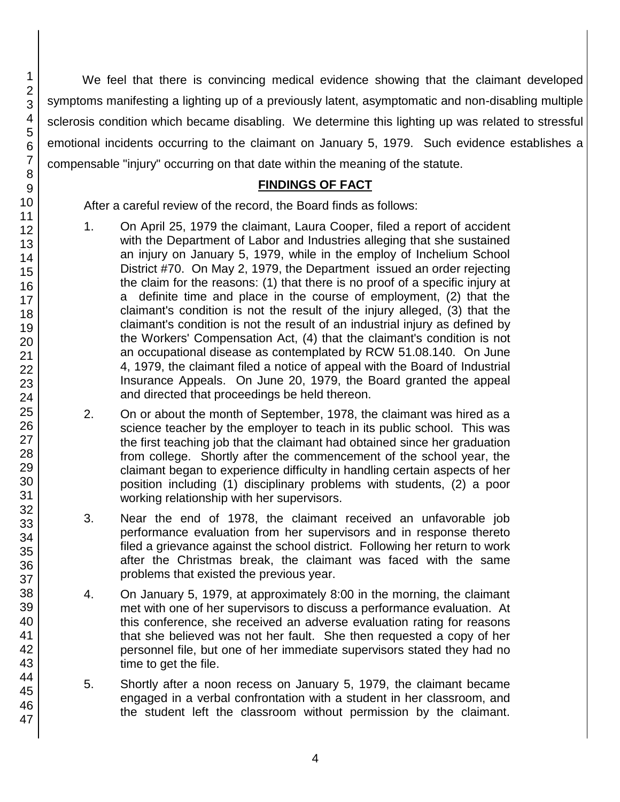We feel that there is convincing medical evidence showing that the claimant developed symptoms manifesting a lighting up of a previously latent, asymptomatic and non-disabling multiple sclerosis condition which became disabling. We determine this lighting up was related to stressful emotional incidents occurring to the claimant on January 5, 1979. Such evidence establishes a compensable "injury" occurring on that date within the meaning of the statute.

## **FINDINGS OF FACT**

After a careful review of the record, the Board finds as follows:

- 1. On April 25, 1979 the claimant, Laura Cooper, filed a report of accident with the Department of Labor and Industries alleging that she sustained an injury on January 5, 1979, while in the employ of Inchelium School District #70. On May 2, 1979, the Department issued an order rejecting the claim for the reasons: (1) that there is no proof of a specific injury at a definite time and place in the course of employment, (2) that the claimant's condition is not the result of the injury alleged, (3) that the claimant's condition is not the result of an industrial injury as defined by the Workers' Compensation Act, (4) that the claimant's condition is not an occupational disease as contemplated by RCW 51.08.140. On June 4, 1979, the claimant filed a notice of appeal with the Board of Industrial Insurance Appeals. On June 20, 1979, the Board granted the appeal and directed that proceedings be held thereon.
- 2. On or about the month of September, 1978, the claimant was hired as a science teacher by the employer to teach in its public school. This was the first teaching job that the claimant had obtained since her graduation from college. Shortly after the commencement of the school year, the claimant began to experience difficulty in handling certain aspects of her position including (1) disciplinary problems with students, (2) a poor working relationship with her supervisors.
- 3. Near the end of 1978, the claimant received an unfavorable job performance evaluation from her supervisors and in response thereto filed a grievance against the school district. Following her return to work after the Christmas break, the claimant was faced with the same problems that existed the previous year.
- 4. On January 5, 1979, at approximately 8:00 in the morning, the claimant met with one of her supervisors to discuss a performance evaluation. At this conference, she received an adverse evaluation rating for reasons that she believed was not her fault. She then requested a copy of her personnel file, but one of her immediate supervisors stated they had no time to get the file.
- 5. Shortly after a noon recess on January 5, 1979, the claimant became engaged in a verbal confrontation with a student in her classroom, and the student left the classroom without permission by the claimant.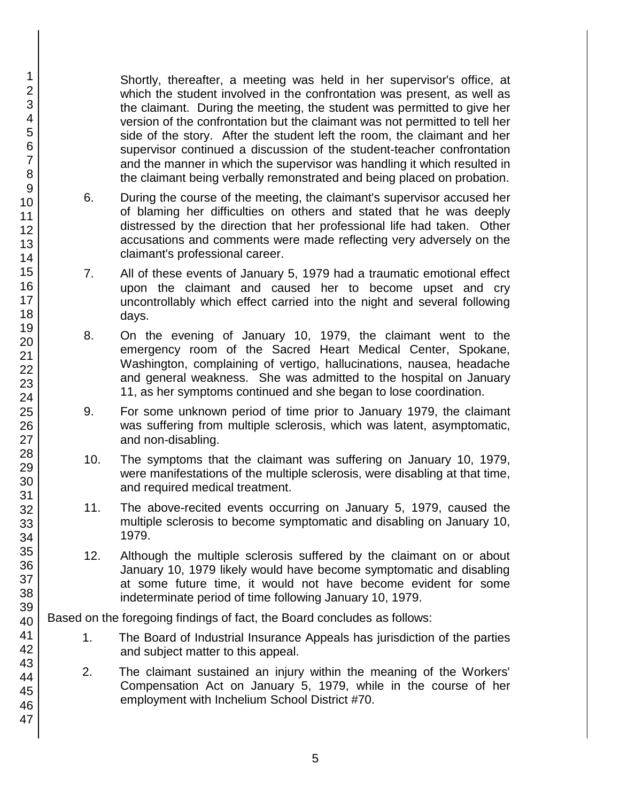Shortly, thereafter, a meeting was held in her supervisor's office, at which the student involved in the confrontation was present, as well as the claimant. During the meeting, the student was permitted to give her version of the confrontation but the claimant was not permitted to tell her side of the story. After the student left the room, the claimant and her supervisor continued a discussion of the student-teacher confrontation and the manner in which the supervisor was handling it which resulted in the claimant being verbally remonstrated and being placed on probation.

- 6. During the course of the meeting, the claimant's supervisor accused her of blaming her difficulties on others and stated that he was deeply distressed by the direction that her professional life had taken. Other accusations and comments were made reflecting very adversely on the claimant's professional career.
- 7. All of these events of January 5, 1979 had a traumatic emotional effect upon the claimant and caused her to become upset and cry uncontrollably which effect carried into the night and several following days.
- 8. On the evening of January 10, 1979, the claimant went to the emergency room of the Sacred Heart Medical Center, Spokane, Washington, complaining of vertigo, hallucinations, nausea, headache and general weakness. She was admitted to the hospital on January 11, as her symptoms continued and she began to lose coordination.
- 9. For some unknown period of time prior to January 1979, the claimant was suffering from multiple sclerosis, which was latent, asymptomatic, and non-disabling.
- 10. The symptoms that the claimant was suffering on January 10, 1979, were manifestations of the multiple sclerosis, were disabling at that time, and required medical treatment.
- 11. The above-recited events occurring on January 5, 1979, caused the multiple sclerosis to become symptomatic and disabling on January 10, 1979.
- 12. Although the multiple sclerosis suffered by the claimant on or about January 10, 1979 likely would have become symptomatic and disabling at some future time, it would not have become evident for some indeterminate period of time following January 10, 1979.

Based on the foregoing findings of fact, the Board concludes as follows:

- 1. The Board of Industrial Insurance Appeals has jurisdiction of the parties and subject matter to this appeal.
- 2. The claimant sustained an injury within the meaning of the Workers' Compensation Act on January 5, 1979, while in the course of her employment with Inchelium School District #70.